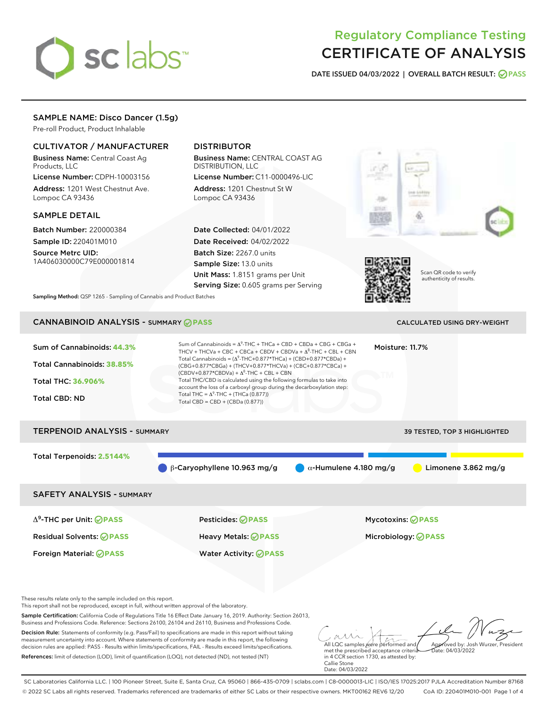# sclabs<sup>\*</sup>

# Regulatory Compliance Testing CERTIFICATE OF ANALYSIS

DATE ISSUED 04/03/2022 | OVERALL BATCH RESULT: @ PASS

# SAMPLE NAME: Disco Dancer (1.5g)

Pre-roll Product, Product Inhalable

# CULTIVATOR / MANUFACTURER

Business Name: Central Coast Ag Products, LLC

License Number: CDPH-10003156 Address: 1201 West Chestnut Ave. Lompoc CA 93436

#### SAMPLE DETAIL

Batch Number: 220000384 Sample ID: 220401M010

Source Metrc UID: 1A406030000C79E000001814

# DISTRIBUTOR

Business Name: CENTRAL COAST AG DISTRIBUTION, LLC

License Number: C11-0000496-LIC Address: 1201 Chestnut St W Lompoc CA 93436

Date Collected: 04/01/2022 Date Received: 04/02/2022 Batch Size: 2267.0 units Sample Size: 13.0 units Unit Mass: 1.8151 grams per Unit Serving Size: 0.605 grams per Serving





Scan QR code to verify authenticity of results.

Sampling Method: QSP 1265 - Sampling of Cannabis and Product Batches

# CANNABINOID ANALYSIS - SUMMARY **PASS** CALCULATED USING DRY-WEIGHT

| Sum of Cannabinoids: 44.3%<br><b>Total Cannabinoids: 38.85%</b><br>Total THC: 36.906%<br><b>Total CBD: ND</b> | Sum of Cannabinoids = $\Delta^9$ -THC + THCa + CBD + CBDa + CBG + CBGa +<br>Moisture: 11.7%<br>THCV + THCVa + CBC + CBCa + CBDV + CBDVa + $\Delta^8$ -THC + CBL + CBN<br>Total Cannabinoids = $(\Delta^9$ -THC+0.877*THCa) + (CBD+0.877*CBDa) +<br>(CBG+0.877*CBGa) + (THCV+0.877*THCVa) + (CBC+0.877*CBCa) +<br>$(CBDV+0.877*CBDVa) + \Delta^8$ -THC + CBL + CBN<br>Total THC/CBD is calculated using the following formulas to take into<br>account the loss of a carboxyl group during the decarboxylation step:<br>Total THC = $\Delta^9$ -THC + (THCa (0.877))<br>Total CBD = $CBD + (CBDa (0.877))$ |                                                        |  |  |
|---------------------------------------------------------------------------------------------------------------|-----------------------------------------------------------------------------------------------------------------------------------------------------------------------------------------------------------------------------------------------------------------------------------------------------------------------------------------------------------------------------------------------------------------------------------------------------------------------------------------------------------------------------------------------------------------------------------------------------------|--------------------------------------------------------|--|--|
| <b>TERPENOID ANALYSIS - SUMMARY</b>                                                                           |                                                                                                                                                                                                                                                                                                                                                                                                                                                                                                                                                                                                           | 39 TESTED, TOP 3 HIGHLIGHTED                           |  |  |
| Total Terpenoids: 2.5144%                                                                                     | $\beta$ -Caryophyllene 10.963 mg/g                                                                                                                                                                                                                                                                                                                                                                                                                                                                                                                                                                        | $\alpha$ -Humulene 4.180 mg/g<br>Limonene $3.862$ mg/g |  |  |
| <b>SAFETY ANALYSIS - SUMMARY</b>                                                                              |                                                                                                                                                                                                                                                                                                                                                                                                                                                                                                                                                                                                           |                                                        |  |  |
| $\Delta^9$ -THC per Unit: <b>PASS</b>                                                                         | <b>Pesticides: ⊘ PASS</b>                                                                                                                                                                                                                                                                                                                                                                                                                                                                                                                                                                                 | <b>Mycotoxins: ⊘PASS</b>                               |  |  |
| <b>Residual Solvents: ⊘ PASS</b>                                                                              | <b>Heavy Metals: ØPASS</b>                                                                                                                                                                                                                                                                                                                                                                                                                                                                                                                                                                                | Microbiology: <b>OPASS</b>                             |  |  |
| Foreign Material: <b>⊘ PASS</b><br>These results relate only to the sample included on this report.           | <b>Water Activity: ⊘PASS</b>                                                                                                                                                                                                                                                                                                                                                                                                                                                                                                                                                                              |                                                        |  |  |
| This report shall not be reproduced, except in full, without written approval of the laboratory.              |                                                                                                                                                                                                                                                                                                                                                                                                                                                                                                                                                                                                           |                                                        |  |  |

Sample Certification: California Code of Regulations Title 16 Effect Date January 16, 2019. Authority: Section 26013, Business and Professions Code. Reference: Sections 26100, 26104 and 26110, Business and Professions Code.

Decision Rule: Statements of conformity (e.g. Pass/Fail) to specifications are made in this report without taking measurement uncertainty into account. Where statements of conformity are made in this report, the following decision rules are applied: PASS - Results within limits/specifications, FAIL - Results exceed limits/specifications. References: limit of detection (LOD), limit of quantification (LOQ), not detected (ND), not tested (NT)

All LQC samples were performed and Approved by: Josh Wurzer, President Date: 04/03/2022

met the prescribed acceptance criteria in 4 CCR section 1730, as attested by: Callie Stone Date: 04/03/2022

SC Laboratories California LLC. | 100 Pioneer Street, Suite E, Santa Cruz, CA 95060 | 866-435-0709 | sclabs.com | C8-0000013-LIC | ISO/IES 17025:2017 PJLA Accreditation Number 87168 © 2022 SC Labs all rights reserved. Trademarks referenced are trademarks of either SC Labs or their respective owners. MKT00162 REV6 12/20 CoA ID: 220401M010-001 Page 1 of 4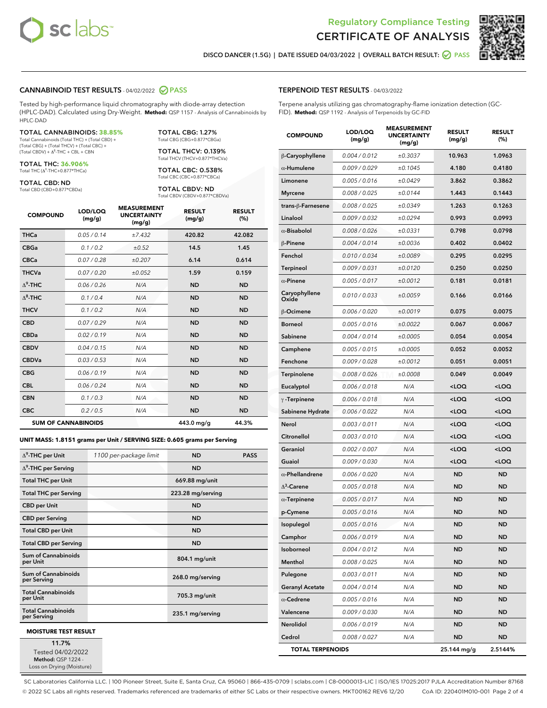



DISCO DANCER (1.5G) | DATE ISSUED 04/03/2022 | OVERALL BATCH RESULT: **● PASS** 

#### CANNABINOID TEST RESULTS - 04/02/2022 2 PASS

Tested by high-performance liquid chromatography with diode-array detection (HPLC-DAD). Calculated using Dry-Weight. **Method:** QSP 1157 - Analysis of Cannabinoids by HPLC-DAD

### TOTAL CANNABINOIDS: **38.85%**

Total Cannabinoids (Total THC) + (Total CBD) + (Total CBG) + (Total THCV) + (Total CBC) +<br>(Total CBDV) + Δ<sup>8</sup>-THC + CBL + CBN

TOTAL THC: **36.906%** Total THC (Δ<sup>9</sup> -THC+0.877\*THCa)

TOTAL CBD: ND

Total CBD (CBD+0.877\*CBDa)

TOTAL CBG: 1.27% Total CBG (CBG+0.877\*CBGa)

TOTAL THCV: 0.139% Total THCV (THCV+0.877\*THCVa)

TOTAL CBC: 0.538% Total CBC (CBC+0.877\*CBCa)

TOTAL CBDV: ND Total CBDV (CBDV+0.877\*CBDVa)

| <b>COMPOUND</b>  | LOD/LOQ<br>(mg/g)          | <b>MEASUREMENT</b><br><b>UNCERTAINTY</b><br>(mg/g) | <b>RESULT</b><br>(mg/g) | <b>RESULT</b><br>(%) |
|------------------|----------------------------|----------------------------------------------------|-------------------------|----------------------|
| <b>THCa</b>      | 0.05 / 0.14                | ±7.432                                             | 420.82                  | 42.082               |
| <b>CBGa</b>      | 0.1 / 0.2                  | ±0.52                                              | 14.5                    | 1.45                 |
| <b>CBCa</b>      | 0.07 / 0.28                | ±0.207                                             | 6.14                    | 0.614                |
| <b>THCVa</b>     | 0.07/0.20                  | ±0.052                                             | 1.59                    | 0.159                |
| $\Delta^9$ -THC  | 0.06 / 0.26                | N/A                                                | <b>ND</b>               | <b>ND</b>            |
| $\Lambda^8$ -THC | 0.1 / 0.4                  | N/A                                                | <b>ND</b>               | <b>ND</b>            |
| <b>THCV</b>      | 0.1/0.2                    | N/A                                                | <b>ND</b>               | <b>ND</b>            |
| <b>CBD</b>       | 0.07/0.29                  | N/A                                                | <b>ND</b>               | <b>ND</b>            |
| <b>CBDa</b>      | 0.02/0.19                  | N/A                                                | <b>ND</b>               | <b>ND</b>            |
| <b>CBDV</b>      | 0.04 / 0.15                | N/A                                                | <b>ND</b>               | <b>ND</b>            |
| <b>CBDVa</b>     | 0.03/0.53                  | N/A                                                | <b>ND</b>               | <b>ND</b>            |
| <b>CBG</b>       | 0.06/0.19                  | N/A                                                | <b>ND</b>               | <b>ND</b>            |
| <b>CBL</b>       | 0.06 / 0.24                | N/A                                                | <b>ND</b>               | <b>ND</b>            |
| <b>CBN</b>       | 0.1/0.3                    | N/A                                                | <b>ND</b>               | <b>ND</b>            |
| <b>CBC</b>       | 0.2 / 0.5                  | N/A                                                | <b>ND</b>               | <b>ND</b>            |
|                  | <b>SUM OF CANNABINOIDS</b> |                                                    | 443.0 mg/g              | 44.3%                |

**UNIT MASS: 1.8151 grams per Unit / SERVING SIZE: 0.605 grams per Serving**

| $\Delta^9$ -THC per Unit                 | 1100 per-package limit | <b>ND</b>         | <b>PASS</b> |
|------------------------------------------|------------------------|-------------------|-------------|
| $\Delta^9$ -THC per Serving              |                        | <b>ND</b>         |             |
| <b>Total THC per Unit</b>                |                        | 669.88 mg/unit    |             |
| <b>Total THC per Serving</b>             |                        | 223.28 mg/serving |             |
| <b>CBD per Unit</b>                      |                        | <b>ND</b>         |             |
| <b>CBD per Serving</b>                   |                        | <b>ND</b>         |             |
| <b>Total CBD per Unit</b>                |                        | <b>ND</b>         |             |
| <b>Total CBD per Serving</b>             |                        | <b>ND</b>         |             |
| Sum of Cannabinoids<br>per Unit          |                        | 804.1 mg/unit     |             |
| Sum of Cannabinoids<br>per Serving       |                        | 268.0 mg/serving  |             |
| <b>Total Cannabinoids</b><br>per Unit    |                        | 705.3 mg/unit     |             |
| <b>Total Cannabinoids</b><br>per Serving |                        | 235.1 mg/serving  |             |
| <b>MOISTURE TEST RESULT</b>              |                        |                   |             |

11.7% Tested 04/02/2022

Method: QSP 1224 -Loss on Drying (Moisture)

#### TERPENOID TEST RESULTS - 04/03/2022

Terpene analysis utilizing gas chromatography-flame ionization detection (GC-FID). **Method:** QSP 1192 - Analysis of Terpenoids by GC-FID

| <b>COMPOUND</b>         | LOD/LOQ<br>(mg/g) | <b>MEASUREMENT</b><br><b>UNCERTAINTY</b><br>(mg/g) | <b>RESULT</b><br>(mg/g)                          | <b>RESULT</b><br>(%) |
|-------------------------|-------------------|----------------------------------------------------|--------------------------------------------------|----------------------|
| β-Caryophyllene         | 0.004 / 0.012     | ±0.3037                                            | 10.963                                           | 1.0963               |
| $\alpha$ -Humulene      | 0.009/0.029       | ±0.1045                                            | 4.180                                            | 0.4180               |
| Limonene                | 0.005 / 0.016     | ±0.0429                                            | 3.862                                            | 0.3862               |
| <b>Myrcene</b>          | 0.008 / 0.025     | ±0.0144                                            | 1.443                                            | 0.1443               |
| trans-β-Farnesene       | 0.008 / 0.025     | ±0.0349                                            | 1.263                                            | 0.1263               |
| Linalool                | 0.009 / 0.032     | ±0.0294                                            | 0.993                                            | 0.0993               |
| $\alpha$ -Bisabolol     | 0.008 / 0.026     | ±0.0331                                            | 0.798                                            | 0.0798               |
| $\beta$ -Pinene         | 0.004 / 0.014     | ±0.0036                                            | 0.402                                            | 0.0402               |
| Fenchol                 | 0.010 / 0.034     | ±0.0089                                            | 0.295                                            | 0.0295               |
| Terpineol               | 0.009 / 0.031     | ±0.0120                                            | 0.250                                            | 0.0250               |
| $\alpha$ -Pinene        | 0.005 / 0.017     | ±0.0012                                            | 0.181                                            | 0.0181               |
| Caryophyllene<br>Oxide  | 0.010 / 0.033     | ±0.0059                                            | 0.166                                            | 0.0166               |
| <b>B-Ocimene</b>        | 0.006 / 0.020     | ±0.0019                                            | 0.075                                            | 0.0075               |
| <b>Borneol</b>          | 0.005 / 0.016     | ±0.0022                                            | 0.067                                            | 0.0067               |
| Sabinene                | 0.004 / 0.014     | ±0.0005                                            | 0.054                                            | 0.0054               |
| Camphene                | 0.005 / 0.015     | ±0.0005                                            | 0.052                                            | 0.0052               |
| Fenchone                | 0.009 / 0.028     | ±0.0012                                            | 0.051                                            | 0.0051               |
| Terpinolene             | 0.008 / 0.026     | ±0.0008                                            | 0.049                                            | 0.0049               |
| Eucalyptol              | 0.006 / 0.018     | N/A                                                | <loq< th=""><th><loq< th=""></loq<></th></loq<>  | <loq< th=""></loq<>  |
| $\gamma$ -Terpinene     | 0.006 / 0.018     | N/A                                                | <loq< th=""><th><loq< th=""></loq<></th></loq<>  | <loq< th=""></loq<>  |
| Sabinene Hydrate        | 0.006 / 0.022     | N/A                                                | <loq< th=""><th><loq< th=""></loq<></th></loq<>  | <loq< th=""></loq<>  |
| Nerol                   | 0.003 / 0.011     | N/A                                                | <loq< th=""><th><loq< th=""></loq<></th></loq<>  | <loq< th=""></loq<>  |
| Citronellol             | 0.003 / 0.010     | N/A                                                | <loq< th=""><th><loq< th=""></loq<></th></loq<>  | <loq< th=""></loq<>  |
| Geraniol                | 0.002 / 0.007     | N/A                                                | <loq< th=""><th><math>&lt;</math>LOQ</th></loq<> | $<$ LOQ              |
| Guaiol                  | 0.009 / 0.030     | N/A                                                | <loq< th=""><th><loq< th=""></loq<></th></loq<>  | <loq< th=""></loq<>  |
| $\alpha$ -Phellandrene  | 0.006 / 0.020     | N/A                                                | <b>ND</b>                                        | <b>ND</b>            |
| $\Delta^3$ -Carene      | 0.005 / 0.018     | N/A                                                | ND                                               | <b>ND</b>            |
| $\alpha$ -Terpinene     | 0.005 / 0.017     | N/A                                                | <b>ND</b>                                        | <b>ND</b>            |
| p-Cymene                | 0.005 / 0.016     | N/A                                                | <b>ND</b>                                        | <b>ND</b>            |
| Isopulegol              | 0.005 / 0.016     | N/A                                                | <b>ND</b>                                        | <b>ND</b>            |
| Camphor                 | 0.006 / 0.019     | N/A                                                | ND                                               | ND                   |
| Isoborneol              | 0.004 / 0.012     | N/A                                                | ND                                               | ND                   |
| Menthol                 | 0.008 / 0.025     | N/A                                                | <b>ND</b>                                        | ND                   |
| Pulegone                | 0.003 / 0.011     | N/A                                                | <b>ND</b>                                        | ND                   |
| <b>Geranyl Acetate</b>  | 0.004 / 0.014     | N/A                                                | ND                                               | ND                   |
| $\alpha$ -Cedrene       | 0.005 / 0.016     | N/A                                                | ND                                               | ND                   |
| Valencene               | 0.009 / 0.030     | N/A                                                | <b>ND</b>                                        | ND                   |
| Nerolidol               | 0.006 / 0.019     | N/A                                                | ND                                               | ND                   |
| Cedrol                  | 0.008 / 0.027     | N/A                                                | <b>ND</b>                                        | ND                   |
| <b>TOTAL TERPENOIDS</b> |                   |                                                    | 25.144 mg/g                                      | 2.5144%              |

SC Laboratories California LLC. | 100 Pioneer Street, Suite E, Santa Cruz, CA 95060 | 866-435-0709 | sclabs.com | C8-0000013-LIC | ISO/IES 17025:2017 PJLA Accreditation Number 87168 © 2022 SC Labs all rights reserved. Trademarks referenced are trademarks of either SC Labs or their respective owners. MKT00162 REV6 12/20 CoA ID: 220401M010-001 Page 2 of 4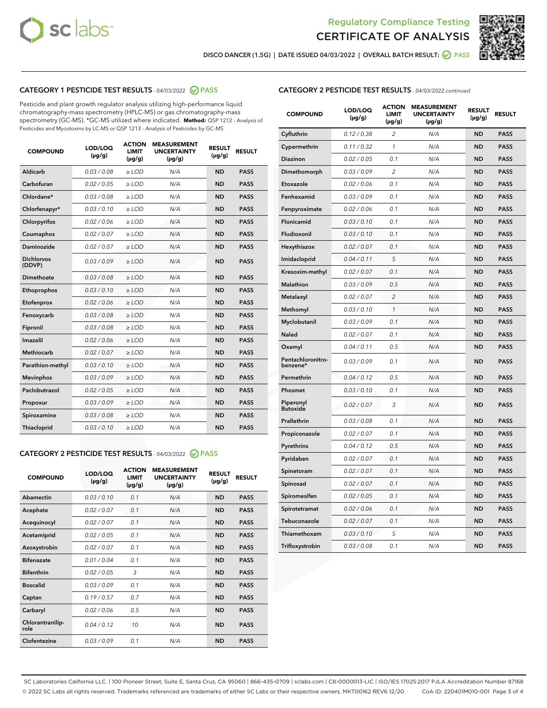



DISCO DANCER (1.5G) | DATE ISSUED 04/03/2022 | OVERALL BATCH RESULT: **⊘** PASS

# CATEGORY 1 PESTICIDE TEST RESULTS - 04/03/2022 2 PASS

Pesticide and plant growth regulator analysis utilizing high-performance liquid chromatography-mass spectrometry (HPLC-MS) or gas chromatography-mass spectrometry (GC-MS). \*GC-MS utilized where indicated. **Method:** QSP 1212 - Analysis of Pesticides and Mycotoxins by LC-MS or QSP 1213 - Analysis of Pesticides by GC-MS

| <b>COMPOUND</b>             | LOD/LOQ<br>$(\mu g/g)$ | <b>ACTION</b><br><b>LIMIT</b><br>$(\mu g/g)$ | <b>MEASUREMENT</b><br><b>UNCERTAINTY</b><br>$(\mu g/g)$ | <b>RESULT</b><br>$(\mu g/g)$ | <b>RESULT</b> |
|-----------------------------|------------------------|----------------------------------------------|---------------------------------------------------------|------------------------------|---------------|
| Aldicarb                    | 0.03 / 0.08            | $>$ LOD                                      | N/A                                                     | <b>ND</b>                    | <b>PASS</b>   |
| Carbofuran                  | 0.02 / 0.05            | ≥ LOD                                        | N/A                                                     | <b>ND</b>                    | <b>PASS</b>   |
| Chlordane*                  | 0.03/0.08              | $>$ LOD                                      | N/A                                                     | <b>ND</b>                    | <b>PASS</b>   |
| Chlorfenapyr*               | 0.03/0.10              | $>$ LOD                                      | N/A                                                     | <b>ND</b>                    | <b>PASS</b>   |
| Chlorpyrifos                | 0.02/0.06              | $>$ LOD                                      | N/A                                                     | <b>ND</b>                    | <b>PASS</b>   |
| Coumaphos                   | 0.02 / 0.07            | $>$ LOD                                      | N/A                                                     | <b>ND</b>                    | <b>PASS</b>   |
| <b>Daminozide</b>           | 0.02 / 0.07            | $\ge$ LOD                                    | N/A                                                     | <b>ND</b>                    | <b>PASS</b>   |
| <b>Dichlorvos</b><br>(DDVP) | 0.03/0.09              | $>$ LOD                                      | N/A                                                     | <b>ND</b>                    | <b>PASS</b>   |
| Dimethoate                  | 0.03 / 0.08            | $>$ LOD                                      | N/A                                                     | <b>ND</b>                    | <b>PASS</b>   |
| Ethoprophos                 | 0.03/0.10              | $>$ LOD                                      | N/A                                                     | <b>ND</b>                    | <b>PASS</b>   |
| Etofenprox                  | 0.02 / 0.06            | $\geq$ LOD                                   | N/A                                                     | <b>ND</b>                    | <b>PASS</b>   |
| Fenoxycarb                  | 0.03/0.08              | $>$ LOD                                      | N/A                                                     | <b>ND</b>                    | <b>PASS</b>   |
| Fipronil                    | 0.03 / 0.08            | $\geq$ LOD                                   | N/A                                                     | <b>ND</b>                    | <b>PASS</b>   |
| Imazalil                    | 0.02 / 0.06            | $\ge$ LOD                                    | N/A                                                     | <b>ND</b>                    | <b>PASS</b>   |
| <b>Methiocarb</b>           | 0.02 / 0.07            | $\ge$ LOD                                    | N/A                                                     | <b>ND</b>                    | <b>PASS</b>   |
| Parathion-methyl            | 0.03/0.10              | $\ge$ LOD                                    | N/A                                                     | <b>ND</b>                    | <b>PASS</b>   |
| <b>Mevinphos</b>            | 0.03/0.09              | $\ge$ LOD                                    | N/A                                                     | <b>ND</b>                    | <b>PASS</b>   |
| Paclobutrazol               | 0.02 / 0.05            | $\ge$ LOD                                    | N/A                                                     | <b>ND</b>                    | <b>PASS</b>   |
| Propoxur                    | 0.03/0.09              | $\geq$ LOD                                   | N/A                                                     | <b>ND</b>                    | <b>PASS</b>   |
| Spiroxamine                 | 0.03 / 0.08            | $\ge$ LOD                                    | N/A                                                     | <b>ND</b>                    | <b>PASS</b>   |
| Thiacloprid                 | 0.03/0.10              | $>$ LOD                                      | N/A                                                     | <b>ND</b>                    | <b>PASS</b>   |

# CATEGORY 2 PESTICIDE TEST RESULTS - 04/03/2022 @ PASS

| <b>COMPOUND</b>          | LOD/LOO<br>$(\mu g/g)$ | <b>ACTION</b><br><b>LIMIT</b><br>$(\mu g/g)$ | <b>MEASUREMENT</b><br><b>UNCERTAINTY</b><br>$(\mu g/g)$ | <b>RESULT</b><br>$(\mu g/g)$ | <b>RESULT</b> |
|--------------------------|------------------------|----------------------------------------------|---------------------------------------------------------|------------------------------|---------------|
| Abamectin                | 0.03/0.10              | 0.1                                          | N/A                                                     | <b>ND</b>                    | <b>PASS</b>   |
| Acephate                 | 0.02 / 0.07            | 0.1                                          | N/A                                                     | <b>ND</b>                    | <b>PASS</b>   |
| Acequinocyl              | 0.02/0.07              | 0.1                                          | N/A                                                     | <b>ND</b>                    | <b>PASS</b>   |
| Acetamiprid              | 0.02/0.05              | 0.1                                          | N/A                                                     | <b>ND</b>                    | <b>PASS</b>   |
| Azoxystrobin             | 0.02 / 0.07            | 0.1                                          | N/A                                                     | <b>ND</b>                    | <b>PASS</b>   |
| <b>Bifenazate</b>        | 0.01/0.04              | 0.1                                          | N/A                                                     | <b>ND</b>                    | <b>PASS</b>   |
| <b>Bifenthrin</b>        | 0.02/0.05              | 3                                            | N/A                                                     | <b>ND</b>                    | <b>PASS</b>   |
| <b>Boscalid</b>          | 0.03/0.09              | 0.1                                          | N/A                                                     | <b>ND</b>                    | <b>PASS</b>   |
| Captan                   | 0.19/0.57              | 0.7                                          | N/A                                                     | <b>ND</b>                    | <b>PASS</b>   |
| Carbaryl                 | 0.02/0.06              | 0.5                                          | N/A                                                     | <b>ND</b>                    | <b>PASS</b>   |
| Chlorantranilip-<br>role | 0.04/0.12              | 10                                           | N/A                                                     | <b>ND</b>                    | <b>PASS</b>   |
| Clofentezine             | 0.03/0.09              | 0.1                                          | N/A                                                     | <b>ND</b>                    | <b>PASS</b>   |

# CATEGORY 2 PESTICIDE TEST RESULTS - 04/03/2022 continued

| <b>COMPOUND</b>               | LOD/LOQ<br>(µg/g) | <b>ACTION</b><br><b>LIMIT</b><br>(µg/g) | <b>MEASUREMENT</b><br><b>UNCERTAINTY</b><br>(µg/g) | <b>RESULT</b><br>(µg/g) | <b>RESULT</b> |
|-------------------------------|-------------------|-----------------------------------------|----------------------------------------------------|-------------------------|---------------|
| Cyfluthrin                    | 0.12 / 0.38       | $\overline{c}$                          | N/A                                                | <b>ND</b>               | <b>PASS</b>   |
| Cypermethrin                  | 0.11/0.32         | $\mathcal{I}$                           | N/A                                                | <b>ND</b>               | <b>PASS</b>   |
| <b>Diazinon</b>               | 0.02 / 0.05       | 0.1                                     | N/A                                                | <b>ND</b>               | <b>PASS</b>   |
| Dimethomorph                  | 0.03 / 0.09       | 2                                       | N/A                                                | ND                      | <b>PASS</b>   |
| Etoxazole                     | 0.02 / 0.06       | 0.1                                     | N/A                                                | <b>ND</b>               | <b>PASS</b>   |
| Fenhexamid                    | 0.03/0.09         | 0.1                                     | N/A                                                | <b>ND</b>               | <b>PASS</b>   |
| Fenpyroximate                 | 0.02 / 0.06       | 0.1                                     | N/A                                                | <b>ND</b>               | <b>PASS</b>   |
| Flonicamid                    | 0.03 / 0.10       | 0.1                                     | N/A                                                | ND                      | <b>PASS</b>   |
| Fludioxonil                   | 0.03 / 0.10       | 0.1                                     | N/A                                                | <b>ND</b>               | <b>PASS</b>   |
| Hexythiazox                   | 0.02 / 0.07       | 0.1                                     | N/A                                                | <b>ND</b>               | <b>PASS</b>   |
| Imidacloprid                  | 0.04 / 0.11       | 5                                       | N/A                                                | <b>ND</b>               | <b>PASS</b>   |
| Kresoxim-methyl               | 0.02 / 0.07       | 0.1                                     | N/A                                                | <b>ND</b>               | <b>PASS</b>   |
| <b>Malathion</b>              | 0.03 / 0.09       | 0.5                                     | N/A                                                | <b>ND</b>               | <b>PASS</b>   |
| Metalaxyl                     | 0.02 / 0.07       | $\overline{c}$                          | N/A                                                | <b>ND</b>               | <b>PASS</b>   |
| Methomyl                      | 0.03 / 0.10       | $\mathcal{I}$                           | N/A                                                | <b>ND</b>               | <b>PASS</b>   |
| Myclobutanil                  | 0.03 / 0.09       | 0.1                                     | N/A                                                | <b>ND</b>               | <b>PASS</b>   |
| Naled                         | 0.02 / 0.07       | 0.1                                     | N/A                                                | <b>ND</b>               | <b>PASS</b>   |
| Oxamyl                        | 0.04 / 0.11       | 0.5                                     | N/A                                                | ND                      | <b>PASS</b>   |
| Pentachloronitro-<br>benzene* | 0.03/0.09         | 0.1                                     | N/A                                                | ND                      | <b>PASS</b>   |
| Permethrin                    | 0.04 / 0.12       | 0.5                                     | N/A                                                | <b>ND</b>               | <b>PASS</b>   |
| Phosmet                       | 0.03 / 0.10       | 0.1                                     | N/A                                                | <b>ND</b>               | <b>PASS</b>   |
| Piperonyl<br><b>Butoxide</b>  | 0.02 / 0.07       | 3                                       | N/A                                                | <b>ND</b>               | <b>PASS</b>   |
| Prallethrin                   | 0.03 / 0.08       | 0.1                                     | N/A                                                | <b>ND</b>               | <b>PASS</b>   |
| Propiconazole                 | 0.02 / 0.07       | 0.1                                     | N/A                                                | <b>ND</b>               | <b>PASS</b>   |
| Pyrethrins                    | 0.04 / 0.12       | 0.5                                     | N/A                                                | <b>ND</b>               | <b>PASS</b>   |
| Pyridaben                     | 0.02 / 0.07       | 0.1                                     | N/A                                                | ND                      | <b>PASS</b>   |
| Spinetoram                    | 0.02 / 0.07       | 0.1                                     | N/A                                                | <b>ND</b>               | <b>PASS</b>   |
| Spinosad                      | 0.02 / 0.07       | 0.1                                     | N/A                                                | <b>ND</b>               | <b>PASS</b>   |
| Spiromesifen                  | 0.02 / 0.05       | 0.1                                     | N/A                                                | <b>ND</b>               | <b>PASS</b>   |
| Spirotetramat                 | 0.02 / 0.06       | 0.1                                     | N/A                                                | ND                      | <b>PASS</b>   |
| Tebuconazole                  | 0.02 / 0.07       | 0.1                                     | N/A                                                | <b>ND</b>               | <b>PASS</b>   |
| Thiamethoxam                  | 0.03 / 0.10       | 5                                       | N/A                                                | <b>ND</b>               | <b>PASS</b>   |
| Trifloxystrobin               | 0.03 / 0.08       | 0.1                                     | N/A                                                | <b>ND</b>               | <b>PASS</b>   |

SC Laboratories California LLC. | 100 Pioneer Street, Suite E, Santa Cruz, CA 95060 | 866-435-0709 | sclabs.com | C8-0000013-LIC | ISO/IES 17025:2017 PJLA Accreditation Number 87168 © 2022 SC Labs all rights reserved. Trademarks referenced are trademarks of either SC Labs or their respective owners. MKT00162 REV6 12/20 CoA ID: 220401M010-001 Page 3 of 4